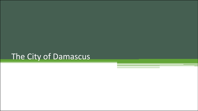## The City of Damascus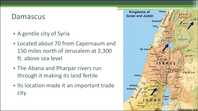#### Damascus

- A gentile city of Syria
- Located about 70 from Capernaum and 150 miles north of Jerusalem at 2,300 ft. above sea level
- The Abana and Pharpar rivers run through it making its land fertile
- Its location made it an important trade city

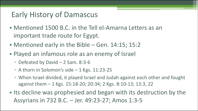### Early History of Damascus

- Mentioned 1500 B.C. in the Tell el-Amarna Letters as an important trade route for Egypt.
- Mentioned early in the Bible Gen. 14:15; 15:2
- Played an infamous role as an enemy of Israel
	- Defeated by David 2 Sam. 8:3-6
	- □ A thorn in Solomon's side 1 Kgs. 11:23-25
	- When Israel divided, it played Israel and Judah against each other and fought against them – 1 Kgs. 15:18-20; 20:34; 2 Kgs. 8:10-13; 13:3, 22
- Its decline was prophesied and began with its destruction by the Assyrians in 732 B.C. – Jer. 49:23-27; Amos 1:3-5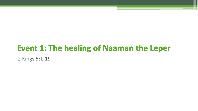# **Event 1: The healing of Naaman the Leper**

2 Kings 5:1-19